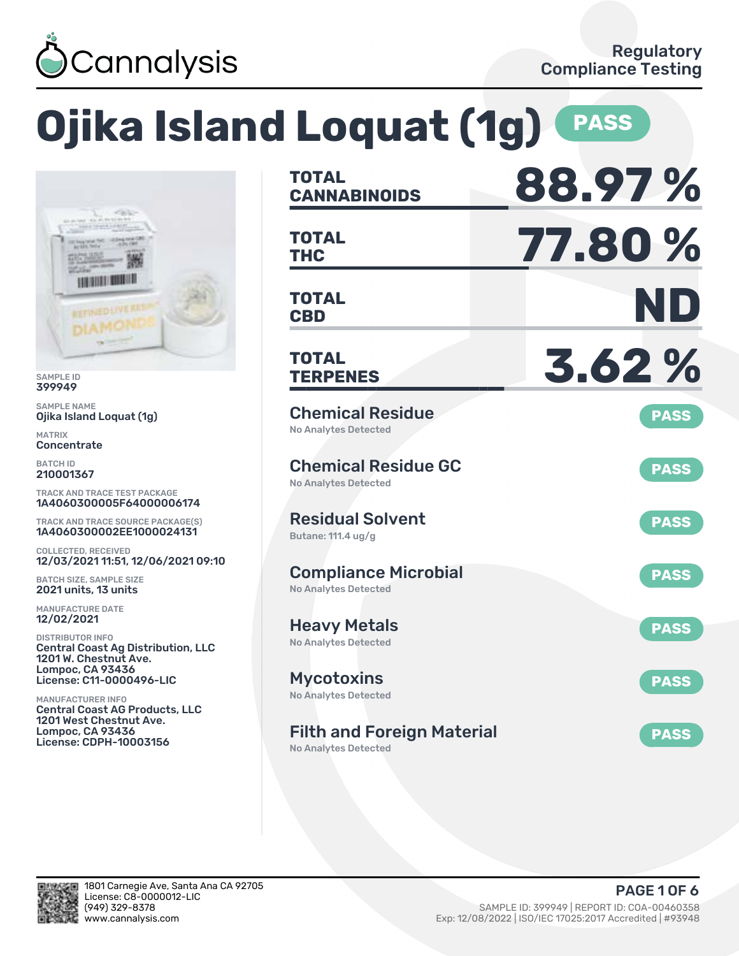

# **Ojika Island Loquat (1g) PASS**



SAMPLE ID 399949

SAMPLE NAME Ojika Island Loquat (1g)

MATRIX **Concentrate** 

BATCH ID 210001367

TRACK AND TRACE TEST PACKAGE 1A406030005F64000006174

TRACK AND TRACE SOURCE PACKAGE(S) 1A4060300002EE1000024131

COLLECTED, RECEIVED 12/03/2021 11:51. 12/06/2021 09:10

BATCH SIZE, SAMPLE SIZE 2021 units, 13 units

MANUFACTURE DATE 12/02/2021

DISTRIBUTOR INFO Central Coast Ag Distribution, LLC 1201 W. Chestnut Ave. Lompoc, CA 93436 License: C11-0000496-LIC

MANUFACTURER INFO Central Coast AG Products, LLC 1201 West Chestnut Ave. Lompoc, CA 93436 License: CDPH-10003156

| <b>TOTAL</b><br><b>CANNABINOIDS</b>                              | 88.97%      |
|------------------------------------------------------------------|-------------|
| <b>TOTAL</b><br><b>THC</b>                                       | 77.80 %     |
| <b>TOTAL</b><br><b>CBD</b>                                       | ND          |
| TOTAL<br><b>TERPENES</b>                                         | 3.62%       |
| <b>Chemical Residue</b><br><b>No Analytes Detected</b>           | <b>PASS</b> |
| <b>Chemical Residue GC</b><br><b>No Analytes Detected</b>        | <b>PASS</b> |
| <b>Residual Solvent</b><br>Butane: 111.4 ug/g                    | <b>PASS</b> |
| <b>Compliance Microbial</b><br><b>No Analytes Detected</b>       | <b>PASS</b> |
| <b>Heavy Metals</b><br><b>No Analytes Detected</b>               | <b>PASS</b> |
| Mycotoxins<br>No Analytes Detected                               | <b>PASS</b> |
| <b>Filth and Foreign Material</b><br><b>No Analytes Detected</b> | <b>PASS</b> |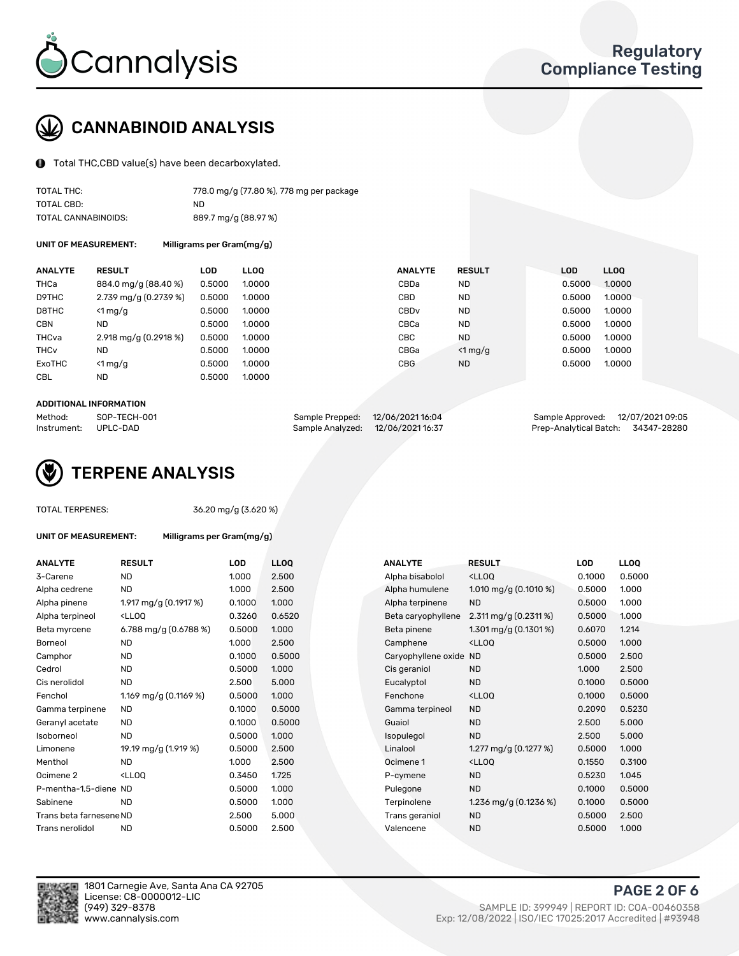

# CANNABINOID ANALYSIS

Total THC,CBD value(s) have been decarboxylated.

| TOTAL THC:          | 778.0 mg/g (77.80 %), 778 mg per package |
|---------------------|------------------------------------------|
| TOTAL CBD:          | ND.                                      |
| TOTAL CANNABINOIDS: | 889.7 mg/g (88.97 %)                     |

UNIT OF MEASUREMENT: Milligrams per Gram(mg/g)

| <b>ANALYTE</b>         | <b>RESULT</b>         | <b>LOD</b> | <b>LLOO</b> | <b>ANALYTE</b>   | <b>RESULT</b> | <b>LOD</b> | <b>LLOO</b> |
|------------------------|-----------------------|------------|-------------|------------------|---------------|------------|-------------|
| THCa                   | 884.0 mg/g (88.40 %)  | 0.5000     | 1.0000      | CBDa             | <b>ND</b>     | 0.5000     | 1.0000      |
| D9THC                  | 2.739 mg/g (0.2739 %) | 0.5000     | 1.0000      | <b>CBD</b>       | <b>ND</b>     | 0.5000     | 1.0000      |
| D8THC                  | $<$ 1 mg/g            | 0.5000     | 1.0000      | CBD <sub>v</sub> | <b>ND</b>     | 0.5000     | 1.0000      |
| <b>CBN</b>             | <b>ND</b>             | 0.5000     | 1.0000      | CBCa             | <b>ND</b>     | 0.5000     | 1.0000      |
| THCva                  | 2.918 mg/g (0.2918 %) | 0.5000     | 1.0000      | <b>CBC</b>       | <b>ND</b>     | 0.5000     | 1.0000      |
| <b>THC<sub>v</sub></b> | <b>ND</b>             | 0.5000     | 1.0000      | CBGa             | $<$ 1 mg/g    | 0.5000     | 1.0000      |
| ExoTHC                 | $<$ 1 mg/g            | 0.5000     | 1.0000      | <b>CBG</b>       | <b>ND</b>     | 0.5000     | 1.0000      |
| <b>CBL</b>             | <b>ND</b>             | 0.5000     | 1.0000      |                  |               |            |             |
|                        |                       |            |             |                  |               |            |             |

## ADDITIONAL INFORMATION

| Method:              | SOP-TECH-001 | Sample Prepped: 12/06/202116:04  | Sample Approved: 12/07/2021 09:05  |  |
|----------------------|--------------|----------------------------------|------------------------------------|--|
| Instrument: UPLC-DAD |              | Sample Analyzed: 12/06/202116:37 | Prep-Analytical Batch: 34347-28280 |  |



TOTAL TERPENES: 36.20 mg/g (3.620 %)

| UNIT OF MEASUREMENT: | Milligrams per Gram(mg/g) |
|----------------------|---------------------------|
|                      |                           |

| <b>ANALYTE</b>          | <b>RESULT</b>                                                                                                                                          | LOD    | <b>LLOQ</b> | <b>ANALYTE</b>         | <b>RESULT</b>                                      | LOD    | <b>LLOQ</b> |
|-------------------------|--------------------------------------------------------------------------------------------------------------------------------------------------------|--------|-------------|------------------------|----------------------------------------------------|--------|-------------|
| 3-Carene                | <b>ND</b>                                                                                                                                              | 1.000  | 2.500       | Alpha bisabolol        | <lloq< td=""><td>0.1000</td><td>0.500</td></lloq<> | 0.1000 | 0.500       |
| Alpha cedrene           | <b>ND</b>                                                                                                                                              | 1.000  | 2.500       | Alpha humulene         | 1.010 mg/g $(0.1010\%)$                            | 0.5000 | 1.000       |
| Alpha pinene            | 1.917 mg/g (0.1917 %)                                                                                                                                  | 0.1000 | 1.000       | Alpha terpinene        | <b>ND</b>                                          | 0.5000 | 1.000       |
| Alpha terpineol         | <lloq< td=""><td>0.3260</td><td>0.6520</td><td>Beta caryophyllene</td><td>2.311 mg/g <math>(0.2311\%)</math></td><td>0.5000</td><td>1.000</td></lloq<> | 0.3260 | 0.6520      | Beta caryophyllene     | 2.311 mg/g $(0.2311\%)$                            | 0.5000 | 1.000       |
| Beta myrcene            | 6.788 mg/g (0.6788 %)                                                                                                                                  | 0.5000 | 1.000       | Beta pinene            | 1.301 mg/g $(0.1301\%)$                            | 0.6070 | 1.214       |
| Borneol                 | <b>ND</b>                                                                                                                                              | 1.000  | 2.500       | Camphene               | <lloq< td=""><td>0.5000</td><td>1.000</td></lloq<> | 0.5000 | 1.000       |
| Camphor                 | <b>ND</b>                                                                                                                                              | 0.1000 | 0.5000      | Caryophyllene oxide ND |                                                    | 0.5000 | 2.500       |
| Cedrol                  | <b>ND</b>                                                                                                                                              | 0.5000 | 1.000       | Cis geraniol           | <b>ND</b>                                          | 1.000  | 2.500       |
| Cis nerolidol           | <b>ND</b>                                                                                                                                              | 2.500  | 5.000       | Eucalyptol             | <b>ND</b>                                          | 0.1000 | 0.500       |
| Fenchol                 | 1.169 mg/g (0.1169 %)                                                                                                                                  | 0.5000 | 1.000       | Fenchone               | <ll0q< td=""><td>0.1000</td><td>0.500</td></ll0q<> | 0.1000 | 0.500       |
| Gamma terpinene         | <b>ND</b>                                                                                                                                              | 0.1000 | 0.5000      | Gamma terpineol        | <b>ND</b>                                          | 0.2090 | 0.523       |
| Geranyl acetate         | ND.                                                                                                                                                    | 0.1000 | 0.5000      | Guaiol                 | <b>ND</b>                                          | 2.500  | 5.000       |
| Isoborneol              | <b>ND</b>                                                                                                                                              | 0.5000 | 1.000       | Isopulegol             | <b>ND</b>                                          | 2.500  | 5.000       |
| Limonene                | 19.19 mg/g (1.919 %)                                                                                                                                   | 0.5000 | 2.500       | Linalool               | 1.277 mg/g $(0.1277%)$                             | 0.5000 | 1.000       |
| Menthol                 | <b>ND</b>                                                                                                                                              | 1.000  | 2.500       | Ocimene 1              | <lloq< td=""><td>0.1550</td><td>0.310</td></lloq<> | 0.1550 | 0.310       |
| Ocimene <sub>2</sub>    | <lloq< td=""><td>0.3450</td><td>1.725</td><td>P-cymene</td><td><b>ND</b></td><td>0.5230</td><td>1.045</td></lloq<>                                     | 0.3450 | 1.725       | P-cymene               | <b>ND</b>                                          | 0.5230 | 1.045       |
| P-mentha-1,5-diene ND   |                                                                                                                                                        | 0.5000 | 1.000       | Pulegone               | <b>ND</b>                                          | 0.1000 | 0.500       |
| Sabinene                | <b>ND</b>                                                                                                                                              | 0.5000 | 1.000       | Terpinolene            | 1.236 mg/g $(0.1236\%)$                            | 0.1000 | 0.500       |
| Trans beta farnesene ND |                                                                                                                                                        | 2.500  | 5.000       | Trans geraniol         | <b>ND</b>                                          | 0.5000 | 2.500       |
| Trans nerolidol         | <b>ND</b>                                                                                                                                              | 0.5000 | 2.500       | Valencene              | <b>ND</b>                                          | 0.5000 | 1.000       |

| <b>ANALYTE</b>          | <b>RESULT</b>                                                                                                                                          | <b>LOD</b> | <b>LLOQ</b> | <b>ANALYTE</b>         | <b>RESULT</b>                                       | LOD    | <b>LLOQ</b> |
|-------------------------|--------------------------------------------------------------------------------------------------------------------------------------------------------|------------|-------------|------------------------|-----------------------------------------------------|--------|-------------|
| 3-Carene                | <b>ND</b>                                                                                                                                              | 1.000      | 2.500       | Alpha bisabolol        | <lloq< td=""><td>0.1000</td><td>0.5000</td></lloq<> | 0.1000 | 0.5000      |
| Alpha cedrene           | <b>ND</b>                                                                                                                                              | 1.000      | 2.500       | Alpha humulene         | 1.010 mg/g $(0.1010 %$                              | 0.5000 | 1.000       |
| Alpha pinene            | 1.917 mg/g (0.1917 %)                                                                                                                                  | 0.1000     | 1.000       | Alpha terpinene        | <b>ND</b>                                           | 0.5000 | 1.000       |
| Alpha terpineol         | <lloq< td=""><td>0.3260</td><td>0.6520</td><td>Beta caryophyllene</td><td><math>2.311</math> mg/g (0.2311 %)</td><td>0.5000</td><td>1.000</td></lloq<> | 0.3260     | 0.6520      | Beta caryophyllene     | $2.311$ mg/g (0.2311 %)                             | 0.5000 | 1.000       |
| Beta myrcene            | 6.788 mg/g (0.6788 %)                                                                                                                                  | 0.5000     | 1.000       | Beta pinene            | 1.301 mg/g $(0.1301\%)$                             | 0.6070 | 1.214       |
| Borneol                 | <b>ND</b>                                                                                                                                              | 1.000      | 2.500       | Camphene               | <lloq< td=""><td>0.5000</td><td>1.000</td></lloq<>  | 0.5000 | 1.000       |
| Camphor                 | ND                                                                                                                                                     | 0.1000     | 0.5000      | Caryophyllene oxide ND |                                                     | 0.5000 | 2.500       |
| Cedrol                  | <b>ND</b>                                                                                                                                              | 0.5000     | 1.000       | Cis geraniol           | <b>ND</b>                                           | 1.000  | 2.500       |
| Cis nerolidol           | <b>ND</b>                                                                                                                                              | 2.500      | 5.000       | Eucalyptol             | <b>ND</b>                                           | 0.1000 | 0.5000      |
| Fenchol                 | 1.169 mg/g $(0.1169%)$                                                                                                                                 | 0.5000     | 1.000       | Fenchone               | <lloq< td=""><td>0.1000</td><td>0.5000</td></lloq<> | 0.1000 | 0.5000      |
| Gamma terpinene         | ND                                                                                                                                                     | 0.1000     | 0.5000      | Gamma terpineol        | <b>ND</b>                                           | 0.2090 | 0.5230      |
| Geranyl acetate         | ND                                                                                                                                                     | 0.1000     | 0.5000      | Guaiol                 | <b>ND</b>                                           | 2.500  | 5.000       |
| Isoborneol              | <b>ND</b>                                                                                                                                              | 0.5000     | 1.000       | Isopulegol             | <b>ND</b>                                           | 2.500  | 5.000       |
| Limonene                | 19.19 mg/g (1.919 %)                                                                                                                                   | 0.5000     | 2.500       | Linalool               | 1.277 mg/g $(0.1277%)$                              | 0.5000 | 1.000       |
| Menthol                 | <b>ND</b>                                                                                                                                              | 1.000      | 2.500       | Ocimene 1              | <ll0q< td=""><td>0.1550</td><td>0.3100</td></ll0q<> | 0.1550 | 0.3100      |
| Ocimene 2               | <lloq< td=""><td>0.3450</td><td>1.725</td><td>P-cymene</td><td><b>ND</b></td><td>0.5230</td><td>1.045</td></lloq<>                                     | 0.3450     | 1.725       | P-cymene               | <b>ND</b>                                           | 0.5230 | 1.045       |
| P-mentha-1,5-diene ND   |                                                                                                                                                        | 0.5000     | 1.000       | Pulegone               | <b>ND</b>                                           | 0.1000 | 0.5000      |
| Sabinene                | <b>ND</b>                                                                                                                                              | 0.5000     | 1.000       | Terpinolene            | 1.236 mg/g $(0.1236\%)$                             | 0.1000 | 0.5000      |
| Trans beta farnesene ND |                                                                                                                                                        | 2.500      | 5.000       | Trans geraniol         | <b>ND</b>                                           | 0.5000 | 2.500       |
| Trans nerolidol         | <b>ND</b>                                                                                                                                              | 0.5000     | 2.500       | Valencene              | <b>ND</b>                                           | 0.5000 | 1.000       |



**PAGE 2 OF 6**